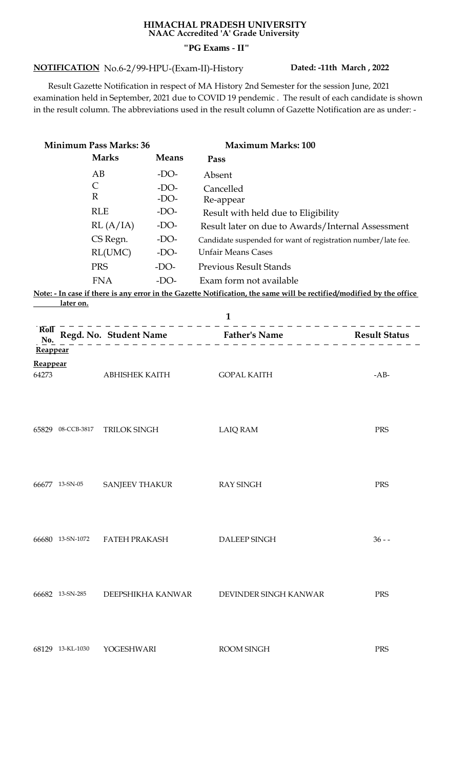## **HIMACHAL PRADESH UNIVERSITY NAAC Accredited 'A' Grade University "PG Exams - II"**

## **NOTIFICATION Dated: -11th March , 2022** No.6-2/99-HPU-(Exam-II)-History

 Result Gazette Notification in respect of MA History 2nd Semester for the session June, 2021 examination held in September, 2021 due to COVID 19 pendemic . The result of each candidate is shown in the result column. The abbreviations used in the result column of Gazette Notification are as under: -

| <b>Minimum Pass Marks: 36</b>   |                              |                       |                            | <b>Maximum Marks: 100</b>                                                                                            |          |
|---------------------------------|------------------------------|-----------------------|----------------------------|----------------------------------------------------------------------------------------------------------------------|----------|
|                                 |                              | <b>Marks</b>          | <b>Means</b>               | Pass                                                                                                                 |          |
|                                 | $\mathsf{C}$<br>$\mathbb{R}$ | AB                    | $-DO-$<br>$-DO-$<br>$-DO-$ | Absent<br>Cancelled<br>Re-appear                                                                                     |          |
|                                 |                              | <b>RLE</b>            | $-DO-$                     | Result with held due to Eligibility                                                                                  |          |
|                                 |                              | RL(A/IA)              | -DO-                       | Result later on due to Awards/Internal Assessment                                                                    |          |
|                                 |                              | CS Regn.              | $-DO-$                     | Candidate suspended for want of registration number/late fee.                                                        |          |
|                                 |                              | RL(UMC)               | $-DO-$                     | <b>Unfair Means Cases</b>                                                                                            |          |
|                                 |                              | <b>PRS</b>            | $-DO-$                     | <b>Previous Result Stands</b>                                                                                        |          |
|                                 |                              | <b>FNA</b>            | $-DO-$                     | Exam form not available                                                                                              |          |
|                                 | later on.                    |                       |                            | Note: - In case if there is any error in the Gazette Notification, the same will be rectified/modified by the office |          |
|                                 |                              |                       |                            | $\mathbf{1}$                                                                                                         |          |
| $\overline{\text{Roll}}$<br>No. |                              |                       |                            | $       -$<br>Regd. No. Student Name Father's Name Result Status                                                     |          |
| <b>Reappear</b>                 |                              |                       |                            |                                                                                                                      |          |
| Reappear                        |                              |                       |                            |                                                                                                                      |          |
| 64273                           |                              | <b>ABHISHEK KAITH</b> |                            | <b>GOPAL KAITH</b>                                                                                                   | $-AB-$   |
|                                 | 65829 08-CCB-3817            | TRILOK SINGH          |                            | <b>LAIQ RAM</b>                                                                                                      | PRS      |
|                                 | 66677 13-SN-05               | <b>SANJEEV THAKUR</b> |                            | <b>RAY SINGH</b>                                                                                                     | PRS      |
|                                 | 66680 13-SN-1072             | <b>FATEH PRAKASH</b>  |                            | DALEEP SINGH                                                                                                         | $36 - -$ |
|                                 | 66682 13-SN-285              | DEEPSHIKHA KANWAR     |                            | DEVINDER SINGH KANWAR                                                                                                | PRS      |
|                                 | 68129 13-KL-1030             | YOGESHWARI            |                            | ROOM SINGH                                                                                                           | PRS      |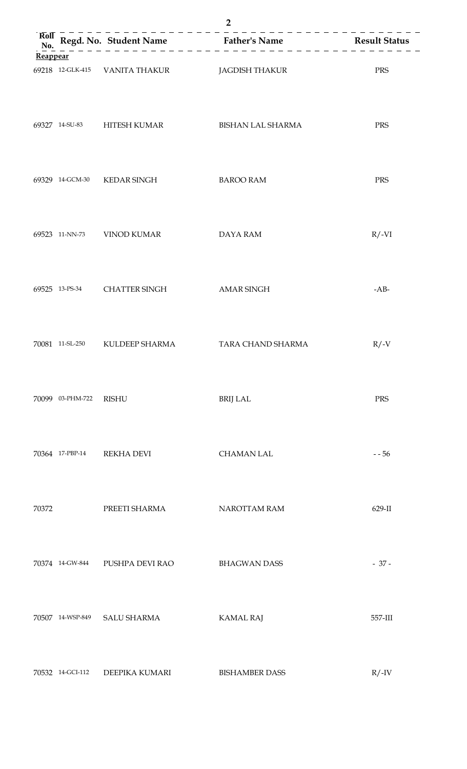| Rol      |                  |                                               |                       |           |
|----------|------------------|-----------------------------------------------|-----------------------|-----------|
| Reappear |                  |                                               |                       |           |
|          |                  | 69218 12-GLK-415 VANITA THAKUR JAGDISH THAKUR |                       | PRS       |
|          |                  | 69327 14-SU-83 HITESH KUMAR                   | BISHAN LAL SHARMA     | PRS       |
|          |                  | 69329 14-GCM-30 KEDAR SINGH                   | <b>BAROO RAM</b>      | PRS       |
|          |                  | 69523 11-NN-73 VINOD KUMAR                    | <b>DAYA RAM</b>       | $R/-VI$   |
|          |                  | 69525 13-PS-34 CHATTER SINGH                  | AMAR SINGH            | $-AB-$    |
|          |                  | 70081 11-SL-250 KULDEEP SHARMA                | TARA CHAND SHARMA     | $R/$ -V   |
|          | 70099 03-PHM-722 | <b>RISHU</b>                                  | <b>BRIJ LAL</b>       | PRS       |
|          | 70364 17-PBP-14  | <b>REKHA DEVI</b>                             | <b>CHAMAN LAL</b>     | $- 56$    |
| 70372    |                  | PREETI SHARMA                                 | NAROTTAM RAM          | $629$ -II |
|          | 70374 14-GW-844  | PUSHPA DEVI RAO                               | <b>BHAGWAN DASS</b>   | $-37-$    |
|          | 70507 14-WSP-849 | <b>SALU SHARMA</b>                            | <b>KAMAL RAJ</b>      | 557-III   |
|          | 70532 14-GCI-112 | DEEPIKA KUMARI                                | <b>BISHAMBER DASS</b> | $R/$ -IV  |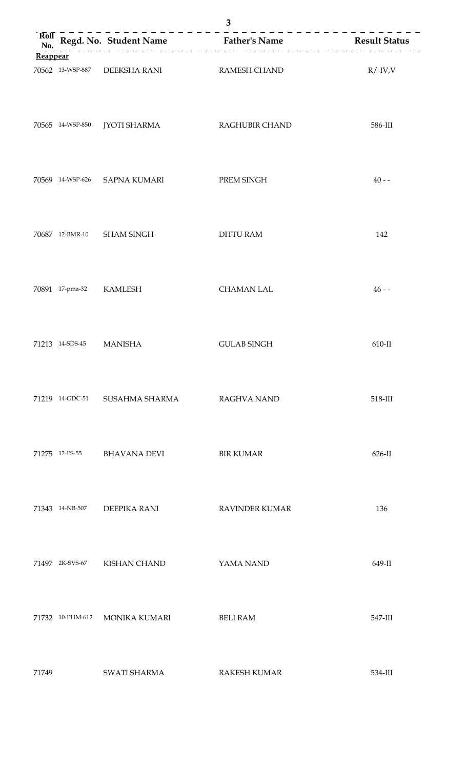| Rol      |                         |                                            | Regd. No. Student Name<br>No. $\begin{array}{c}$ Father's Name<br>No. $\begin{array}{c}$ Result Status |           |
|----------|-------------------------|--------------------------------------------|--------------------------------------------------------------------------------------------------------|-----------|
| Reappear |                         |                                            |                                                                                                        |           |
|          |                         | 70562 13-WSP-887 DEEKSHA RANI RAMESH CHAND |                                                                                                        | $R/-IV,V$ |
|          |                         | 70565 14-WSP-850 JYOTI SHARMA              | RAGHUBIR CHAND                                                                                         | 586-III   |
|          |                         | 70569 14-WSP-626 SAPNA KUMARI              | PREM SINGH                                                                                             | $40 - -$  |
|          |                         | 70687 12-BMR-10 SHAM SINGH                 | <b>DITTU RAM</b>                                                                                       | 142       |
|          | 70891 17-pma-32 KAMLESH |                                            | <b>CHAMAN LAL</b>                                                                                      | $46 - -$  |
|          | 71213 14-SDS-45 MANISHA |                                            | <b>GULAB SINGH</b>                                                                                     | $610-II$  |
|          | 71219 14-GDC-51         | SUSAHMA SHARMA                             | <b>RAGHVA NAND</b>                                                                                     | 518-III   |
|          | 71275 12-PS-55          | <b>BHAVANA DEVI</b>                        | <b>BIR KUMAR</b>                                                                                       | $626$ -II |
|          | 71343 14-NB-507         | DEEPIKA RANI                               | <b>RAVINDER KUMAR</b>                                                                                  | 136       |
|          | 71497 2K-SVS-67         | <b>KISHAN CHAND</b>                        | YAMA NAND                                                                                              | 649-II    |
|          | 71732 10-PHM-612        | <b>MONIKA KUMARI</b>                       | <b>BELI RAM</b>                                                                                        | 547-III   |
| 71749    |                         | SWATI SHARMA                               | <b>RAKESH KUMAR</b>                                                                                    | 534-III   |